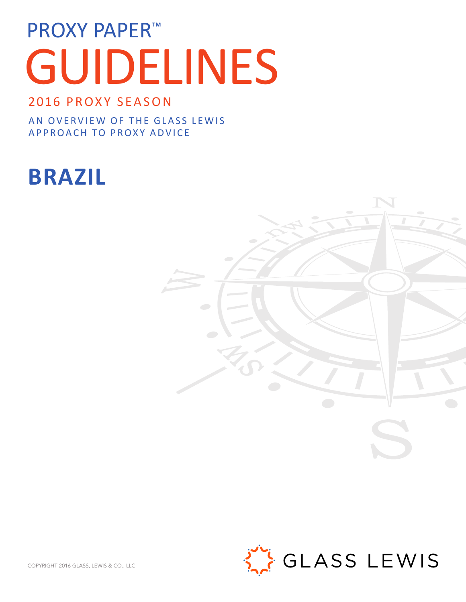# PROXY PAPER<sup>™</sup> GUIDELINES

# 2016 PROXY SEASON

AN OVERVIEW OF THE GLASS LEWIS APPROACH TO PROXY ADVICE

# **BRAZIL**





COPYRIGHT 2016 GLASS, LEWIS & CO., LLC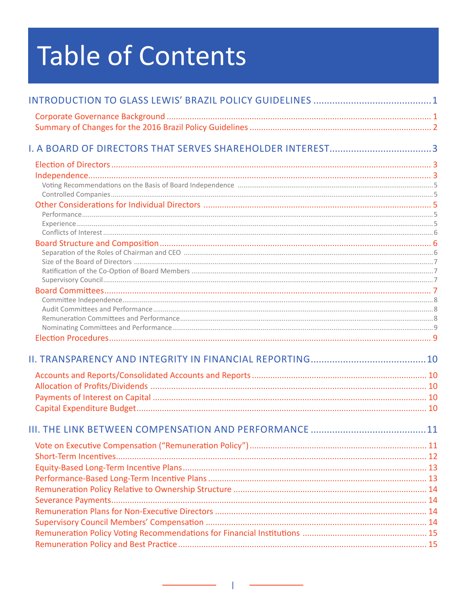# Table of Contents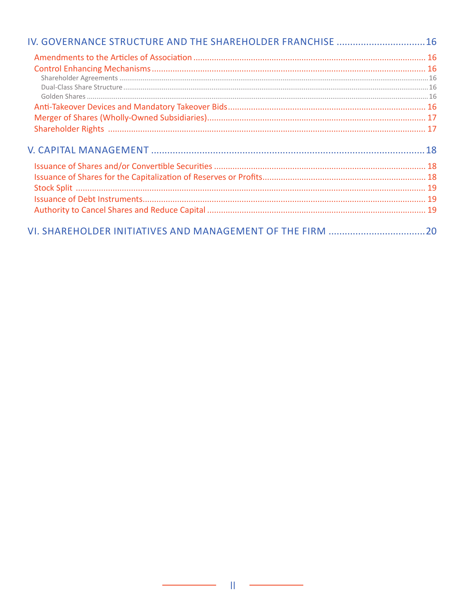| IV. GOVERNANCE STRUCTURE AND THE SHAREHOLDER FRANCHISE  16 |  |
|------------------------------------------------------------|--|
|                                                            |  |
|                                                            |  |
|                                                            |  |
|                                                            |  |
|                                                            |  |
|                                                            |  |
|                                                            |  |
|                                                            |  |
|                                                            |  |
|                                                            |  |
|                                                            |  |
|                                                            |  |
|                                                            |  |
|                                                            |  |
|                                                            |  |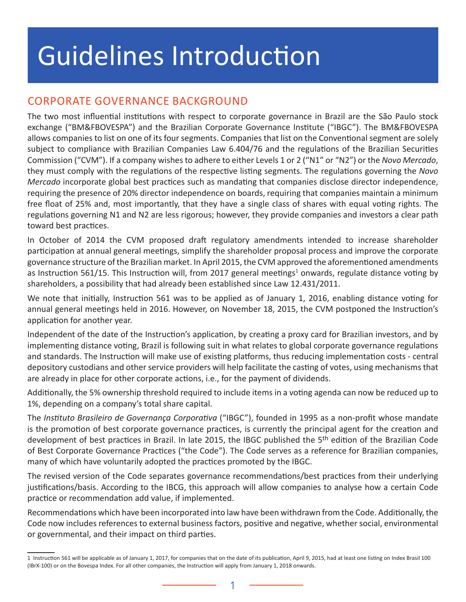# <span id="page-3-0"></span>Guidelines Introduction

# CORPORATE GOVERNANCE BACKGROUND

The two most influential institutions with respect to corporate governance in Brazil are the São Paulo stock exchange ("BM&FBOVESPA") and the Brazilian Corporate Governance Institute ("IBGC"). The BM&FBOVESPA allows companies to list on one of its four segments. Companies that list on the Conventional segment are solely subject to compliance with Brazilian Companies Law 6.404/76 and the regulations of the Brazilian Securities Commission ("CVM"). If a company wishes to adhere to either Levels 1 or 2 ("N1" or "N2") or the *Novo Mercado*, they must comply with the regulations of the respective listing segments. The regulations governing the *Novo Mercado* incorporate global best practices such as mandating that companies disclose director independence, requiring the presence of 20% director independence on boards, requiring that companies maintain a minimum free float of 25% and, most importantly, that they have a single class of shares with equal voting rights. The regulations governing N1 and N2 are less rigorous; however, they provide companies and investors a clear path toward best practices.

In October of 2014 the CVM proposed draft regulatory amendments intended to increase shareholder participation at annual general meetings, simplify the shareholder proposal process and improve the corporate governance structure of the Brazilian market. In April 2015, the CVM approved the aforementioned amendments as Instruction 561/15. This Instruction will, from 2017 general meetings<sup>1</sup> onwards, regulate distance voting by shareholders, a possibility that had already been established since Law 12.431/2011.

We note that initially, Instruction 561 was to be applied as of January 1, 2016, enabling distance voting for annual general meetings held in 2016. However, on November 18, 2015, the CVM postponed the Instruction's application for another year.

Independent of the date of the Instruction's application, by creating a proxy card for Brazilian investors, and by implementing distance voting, Brazil is following suit in what relates to global corporate governance regulations and standards. The Instruction will make use of existing platforms, thus reducing implementation costs - central depository custodians and other service providers will help facilitate the casting of votes, using mechanisms that are already in place for other corporate actions, i.e., for the payment of dividends.

Additionally, the 5% ownership threshold required to include items in a voting agenda can now be reduced up to 1%, depending on a company's total share capital.

The *Instituto Brasileiro de Governança Corporativa* ("IBGC"), founded in 1995 as a non-profit whose mandate is the promotion of best corporate governance practices, is currently the principal agent for the creation and development of best practices in Brazil. In late 2015, the IBGC published the 5th edition of the Brazilian Code of Best Corporate Governance Practices ("the Code"). The Code serves as a reference for Brazilian companies, many of which have voluntarily adopted the practices promoted by the IBGC.

The revised version of the Code separates governance recommendations/best practices from their underlying justifications/basis. According to the IBCG, this approach will allow companies to analyse how a certain Code practice or recommendation add value, if implemented.

Recommendations which have been incorporated into law have been withdrawn from the Code. Additionally, the Code now includes references to external business factors, positive and negative, whether social, environmental or governmental, and their impact on third parties.

<sup>1</sup> Instruction 561 will be applicable as of January 1, 2017, for companies that on the date of its publication, April 9, 2015, had at least one listing on Index Brasil 100 (IBrX-100) or on the Bovespa Index. For all other companies, the Instruction will apply from January 1, 2018 onwards.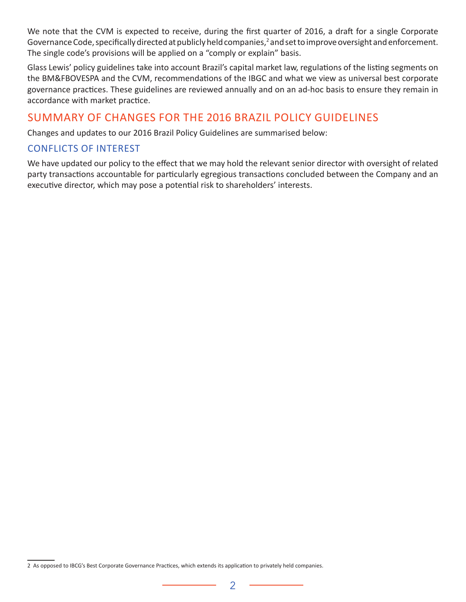We note that the CVM is expected to receive, during the first quarter of 2016, a draft for a single Corporate Governance Code, specifically directed at publicly held companies,<sup>2</sup> and set to improve oversight and enforcement. The single code's provisions will be applied on a "comply or explain" basis.

Glass Lewis' policy guidelines take into account Brazil's capital market law, regulations of the listing segments on the BM&FBOVESPA and the CVM, recommendations of the IBGC and what we view as universal best corporate governance practices. These guidelines are reviewed annually and on an ad-hoc basis to ensure they remain in accordance with market practice.

#### SUMMARY OF CHANGES FOR THE 2016 BRAZIL POLICY GUIDELINES

Changes and updates to our 2016 Brazil Policy Guidelines are summarised below:

#### CONFLICTS OF INTEREST

We have updated our policy to the effect that we may hold the relevant senior director with oversight of related party transactions accountable for particularly egregious transactions concluded between the Company and an executive director, which may pose a potential risk to shareholders' interests.

<sup>2</sup> As opposed to IBCG's Best Corporate Governance Practices, which extends its application to privately held companies.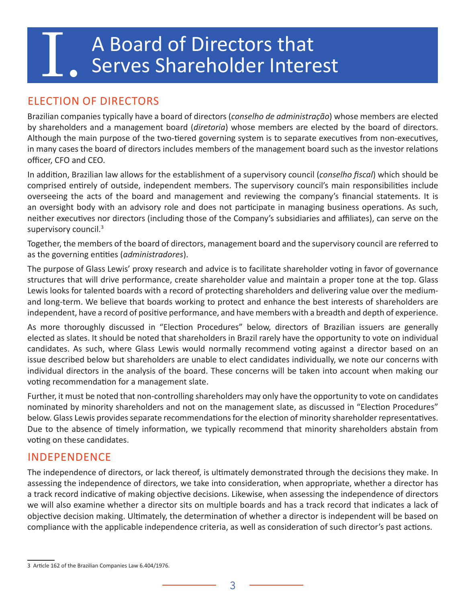# <span id="page-5-0"></span>A Board of Directors that<br>Serves Shareholder Interest

# ELECTION OF DIRECTORS

Brazilian companies typically have a board of directors (*conselho de administração*) whose members are elected by shareholders and a management board (*diretoria*) whose members are elected by the board of directors. Although the main purpose of the two-tiered governing system is to separate executives from non-executives, in many cases the board of directors includes members of the management board such as the investor relations officer, CFO and CEO.

In addition, Brazilian law allows for the establishment of a supervisory council (*conselho fiscal*) which should be comprised entirely of outside, independent members. The supervisory council's main responsibilities include overseeing the acts of the board and management and reviewing the company's financial statements. It is an oversight body with an advisory role and does not participate in managing business operations. As such, neither executives nor directors (including those of the Company's subsidiaries and affiliates), can serve on the supervisory council.<sup>3</sup>

Together, the members of the board of directors, management board and the supervisory council are referred to as the governing entities (*administradores*).

The purpose of Glass Lewis' proxy research and advice is to facilitate shareholder voting in favor of governance structures that will drive performance, create shareholder value and maintain a proper tone at the top. Glass Lewis looks for talented boards with a record of protecting shareholders and delivering value over the mediumand long-term. We believe that boards working to protect and enhance the best interests of shareholders are independent, have a record of positive performance, and have members with a breadth and depth of experience.

As more thoroughly discussed in "Election Procedures" below, directors of Brazilian issuers are generally elected as slates. It should be noted that shareholders in Brazil rarely have the opportunity to vote on individual candidates. As such, where Glass Lewis would normally recommend voting against a director based on an issue described below but shareholders are unable to elect candidates individually, we note our concerns with individual directors in the analysis of the board. These concerns will be taken into account when making our voting recommendation for a management slate.

Further, it must be noted that non-controlling shareholders may only have the opportunity to vote on candidates nominated by minority shareholders and not on the management slate, as discussed in "Election Procedures" below. Glass Lewis provides separate recommendations for the election of minority shareholder representatives. Due to the absence of timely information, we typically recommend that minority shareholders abstain from voting on these candidates.

# INDEPENDENCE

The independence of directors, or lack thereof, is ultimately demonstrated through the decisions they make. In assessing the independence of directors, we take into consideration, when appropriate, whether a director has a track record indicative of making objective decisions. Likewise, when assessing the independence of directors we will also examine whether a director sits on multiple boards and has a track record that indicates a lack of objective decision making. Ultimately, the determination of whether a director is independent will be based on compliance with the applicable independence criteria, as well as consideration of such director's past actions.

<sup>3</sup> Article 162 of the Brazilian Companies Law 6.404/1976.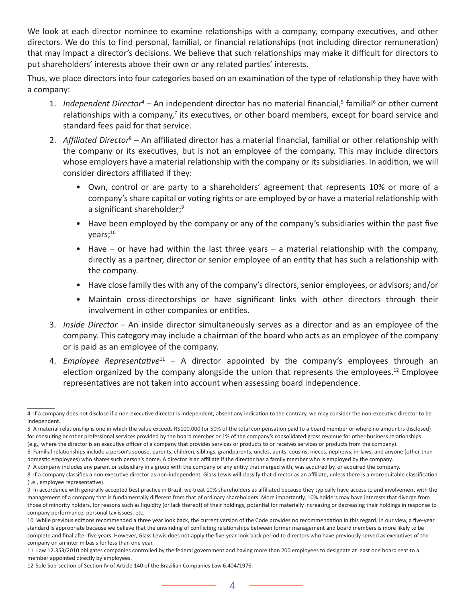We look at each director nominee to examine relationships with a company, company executives, and other directors. We do this to find personal, familial, or financial relationships (not including director remuneration) that may impact a director's decisions. We believe that such relationships may make it difficult for directors to put shareholders' interests above their own or any related parties' interests.

Thus, we place directors into four categories based on an examination of the type of relationship they have with a company:

- 1. *Independent Director<sup>4</sup>* An independent director has no material financial,<sup>5</sup> familial<sup>6</sup> or other current relationships with a company, $7$  its executives, or other board members, except for board service and standard fees paid for that service.
- 2. Affiliated Director<sup>8</sup> An affiliated director has a material financial, familial or other relationship with the company or its executives, but is not an employee of the company. This may include directors whose employers have a material relationship with the company or its subsidiaries. In addition, we will consider directors affiliated if they:
	- Own, control or are party to a shareholders' agreement that represents 10% or more of a company's share capital or voting rights or are employed by or have a material relationship with a significant shareholder;<sup>9</sup>
	- Have been employed by the company or any of the company's subsidiaries within the past five vears;<sup>10</sup>
	- Have or have had within the last three years a material relationship with the company, directly as a partner, director or senior employee of an entity that has such a relationship with the company.
	- Have close family ties with any of the company's directors, senior employees, or advisors; and/or
	- Maintain cross-directorships or have significant links with other directors through their involvement in other companies or entities.
- 3. *Inside Director* An inside director simultaneously serves as a director and as an employee of the company. This category may include a chairman of the board who acts as an employee of the company or is paid as an employee of the company.
- 4. *Employee Representative*<sup>11</sup> A director appointed by the company's employees through an election organized by the company alongside the union that represents the employees.<sup>12</sup> Employee representatives are not taken into account when assessing board independence.

<sup>4</sup> If a company does not disclose if a non-executive director is independent, absent any indication to the contrary, we may consider the non-executive director to be independent.

<sup>5</sup> A material relationship is one in which the value exceeds R\$100,000 (or 50% of the total compensation paid to a board member or where no amount is disclosed) for consulting or other professional services provided by the board member or 1% of the company's consolidated gross revenue for other business relationships

<sup>(</sup>e.g., where the director is an executive officer of a company that provides services or products to or receives services or products from the company). 6 Familial relationships include a person's spouse, parents, children, siblings, grandparents, uncles, aunts, cousins, nieces, nephews, in-laws, and anyone (other than domestic employees) who shares such person's home. A director is an affiliate if the director has a family member who is employed by the company.

<sup>7</sup> A company includes any parent or subsidiary in a group with the company or any entity that merged with, was acquired by, or acquired the company.

<sup>8</sup> If a company classifies a non-executive director as non-independent, Glass Lewis will classify that director as an affiliate, unless there is a more suitable classification (i.e., employee representative).

<sup>9</sup> In accordance with generally accepted best practice in Brazil, we treat 10% shareholders as affiliated because they typically have access to and involvement with the management of a company that is fundamentally different from that of ordinary shareholders. More importantly, 10% holders may have interests that diverge from those of minority holders, for reasons such as liquidity (or lack thereof) of their holdings, potential for materially increasing or decreasing their holdings in response to company performance, personal tax issues, etc.

<sup>10</sup> While previous editions recommended a three year look back, the current version of the Code provides no recommendation in this regard. In our view, a five-year standard is appropriate because we believe that the unwinding of conflicting relationships between former management and board members is more likely to be complete and final after five years. However, Glass Lewis does not apply the five-year look back period to directors who have previously served as executives of the company on an interim basis for less than one year.

<sup>11</sup> Law 12.353/2010 obligates companies controlled by the federal government and having more than 200 employees to designate at least one board seat to a member appointed directly by employees.

<sup>12</sup> Sole Sub-section of Section IV of Article 140 of the Brazilian Companies Law 6.404/1976.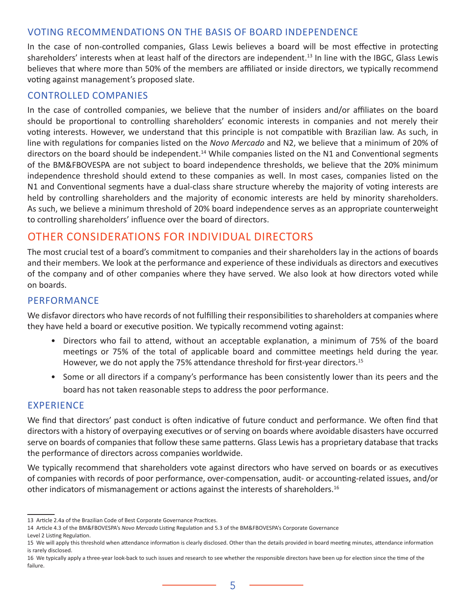#### <span id="page-7-0"></span>VOTING RECOMMENDATIONS ON THE BASIS OF BOARD INDEPENDENCE

In the case of non-controlled companies, Glass Lewis believes a board will be most effective in protecting shareholders' interests when at least half of the directors are independent.<sup>13</sup> In line with the IBGC, Glass Lewis believes that where more than 50% of the members are affiliated or inside directors, we typically recommend voting against management's proposed slate.

#### CONTROLLED COMPANIES

In the case of controlled companies, we believe that the number of insiders and/or affiliates on the board should be proportional to controlling shareholders' economic interests in companies and not merely their voting interests. However, we understand that this principle is not compatible with Brazilian law. As such, in line with regulations for companies listed on the *Novo Mercado* and N2, we believe that a minimum of 20% of directors on the board should be independent.<sup>14</sup> While companies listed on the N1 and Conventional segments of the BM&FBOVESPA are not subject to board independence thresholds, we believe that the 20% minimum independence threshold should extend to these companies as well. In most cases, companies listed on the N1 and Conventional segments have a dual-class share structure whereby the majority of voting interests are held by controlling shareholders and the majority of economic interests are held by minority shareholders. As such, we believe a minimum threshold of 20% board independence serves as an appropriate counterweight to controlling shareholders' influence over the board of directors.

#### OTHER CONSIDERATIONS FOR INDIVIDUAL DIRECTORS

The most crucial test of a board's commitment to companies and their shareholders lay in the actions of boards and their members. We look at the performance and experience of these individuals as directors and executives of the company and of other companies where they have served. We also look at how directors voted while on boards.

#### PERFORMANCE

We disfavor directors who have records of not fulfilling their responsibilities to shareholders at companies where they have held a board or executive position. We typically recommend voting against:

- Directors who fail to attend, without an acceptable explanation, a minimum of 75% of the board meetings or 75% of the total of applicable board and committee meetings held during the year. However, we do not apply the 75% attendance threshold for first-year directors.<sup>15</sup>
- Some or all directors if a company's performance has been consistently lower than its peers and the board has not taken reasonable steps to address the poor performance.

#### EXPERIENCE

We find that directors' past conduct is often indicative of future conduct and performance. We often find that directors with a history of overpaying executives or of serving on boards where avoidable disasters have occurred serve on boards of companies that follow these same patterns. Glass Lewis has a proprietary database that tracks the performance of directors across companies worldwide.

We typically recommend that shareholders vote against directors who have served on boards or as executives of companies with records of poor performance, over-compensation, audit- or accounting-related issues, and/or other indicators of mismanagement or actions against the interests of shareholders.<sup>16</sup>

<sup>13</sup> Article 2.4a of the Brazilian Code of Best Corporate Governance Practices.

<sup>14</sup> Article 4.3 of the BM&FBOVESPA's *Novo Mercado* Listing Regulation and 5.3 of the BM&FBOVESPA's Corporate Governance

Level 2 Listing Regulation.

<sup>15</sup> We will apply this threshold when attendance information is clearly disclosed. Other than the details provided in board meeting minutes, attendance information is rarely disclosed.

<sup>16</sup> We typically apply a three-year look-back to such issues and research to see whether the responsible directors have been up for election since the time of the failure.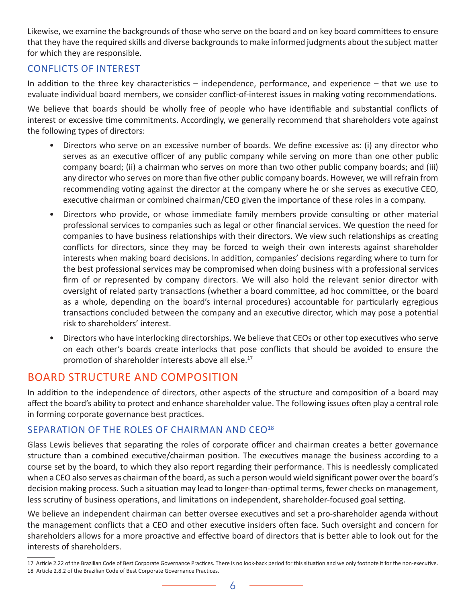<span id="page-8-0"></span>Likewise, we examine the backgrounds of those who serve on the board and on key board committees to ensure that they have the required skills and diverse backgrounds to make informed judgments about the subject matter for which they are responsible.

#### CONFLICTS OF INTEREST

In addition to the three key characteristics – independence, performance, and experience – that we use to evaluate individual board members, we consider conflict-of-interest issues in making voting recommendations.

We believe that boards should be wholly free of people who have identifiable and substantial conflicts of interest or excessive time commitments. Accordingly, we generally recommend that shareholders vote against the following types of directors:

- Directors who serve on an excessive number of boards. We define excessive as: (i) any director who serves as an executive officer of any public company while serving on more than one other public company board; (ii) a chairman who serves on more than two other public company boards; and (iii) any director who serves on more than five other public company boards. However, we will refrain from recommending voting against the director at the company where he or she serves as executive CEO, executive chairman or combined chairman/CEO given the importance of these roles in a company.
- Directors who provide, or whose immediate family members provide consulting or other material professional services to companies such as legal or other financial services. We question the need for companies to have business relationships with their directors. We view such relationships as creating conflicts for directors, since they may be forced to weigh their own interests against shareholder interests when making board decisions. In addition, companies' decisions regarding where to turn for the best professional services may be compromised when doing business with a professional services firm of or represented by company directors. We will also hold the relevant senior director with oversight of related party transactions (whether a board committee, ad hoc committee, or the board as a whole, depending on the board's internal procedures) accountable for particularly egregious transactions concluded between the company and an executive director, which may pose a potential risk to shareholders' interest.
- Directors who have interlocking directorships. We believe that CEOs or other top executives who serve on each other's boards create interlocks that pose conflicts that should be avoided to ensure the promotion of shareholder interests above all else.<sup>17</sup>

#### BOARD STRUCTURE AND COMPOSITION

In addition to the independence of directors, other aspects of the structure and composition of a board may affect the board's ability to protect and enhance shareholder value. The following issues often play a central role in forming corporate governance best practices.

#### SEPARATION OF THE ROLES OF CHAIRMAN AND CEO<sup>18</sup>

Glass Lewis believes that separating the roles of corporate officer and chairman creates a better governance structure than a combined executive/chairman position. The executives manage the business according to a course set by the board, to which they also report regarding their performance. This is needlessly complicated when a CEO also serves as chairman of the board, as such a person would wield significant power over the board's decision making process. Such a situation may lead to longer-than-optimal terms, fewer checks on management, less scrutiny of business operations, and limitations on independent, shareholder-focused goal setting.

We believe an independent chairman can better oversee executives and set a pro-shareholder agenda without the management conflicts that a CEO and other executive insiders often face. Such oversight and concern for shareholders allows for a more proactive and effective board of directors that is better able to look out for the interests of shareholders.

<sup>17</sup> Article 2.22 of the Brazilian Code of Best Corporate Governance Practices. There is no look-back period for this situation and we only footnote it for the non-executive. 18 Article 2.8.2 of the Brazilian Code of Best Corporate Governance Practices.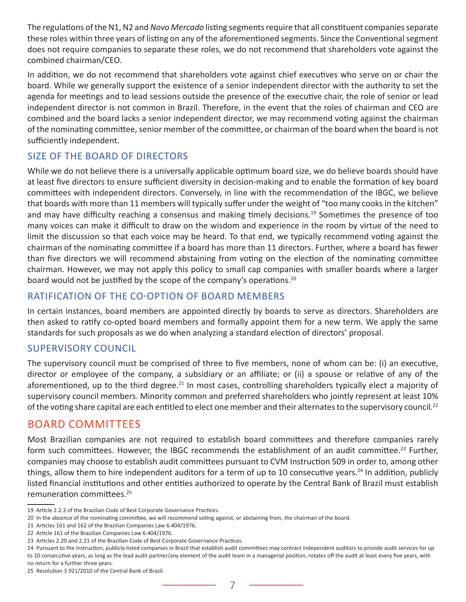<span id="page-9-0"></span>The regulations of the N1, N2 and *Novo Mercado* listing segments require that all constituent companies separate these roles within three years of listing on any of the aforementioned segments. Since the Conventional segment does not require companies to separate these roles, we do not recommend that shareholders vote against the combined chairman/CEO.

In addition, we do not recommend that shareholders vote against chief executives who serve on or chair the board. While we generally support the existence of a senior independent director with the authority to set the agenda for meetings and to lead sessions outside the presence of the executive chair, the role of senior or lead independent director is not common in Brazil. Therefore, in the event that the roles of chairman and CEO are combined and the board lacks a senior independent director, we may recommend voting against the chairman of the nominating committee, senior member of the committee, or chairman of the board when the board is not sufficiently independent.

#### SIZE OF THE BOARD OF DIRECTORS

While we do not believe there is a universally applicable optimum board size, we do believe boards should have at least five directors to ensure sufficient diversity in decision-making and to enable the formation of key board committees with independent directors. Conversely, in line with the recommendation of the IBGC, we believe that boards with more than 11 members will typically suffer under the weight of "too many cooks in the kitchen" and may have difficulty reaching a consensus and making timely decisions.<sup>19</sup> Sometimes the presence of too many voices can make it difficult to draw on the wisdom and experience in the room by virtue of the need to limit the discussion so that each voice may be heard. To that end, we typically recommend voting against the chairman of the nominating committee if a board has more than 11 directors. Further, where a board has fewer than five directors we will recommend abstaining from voting on the election of the nominating committee chairman. However, we may not apply this policy to small cap companies with smaller boards where a larger board would not be justified by the scope of the company's operations.<sup>20</sup>

#### RATIFICATION OF THE CO-OPTION OF BOARD MEMBERS

In certain instances, board members are appointed directly by boards to serve as directors. Shareholders are then asked to ratify co-opted board members and formally appoint them for a new term. We apply the same standards for such proposals as we do when analyzing a standard election of directors' proposal.

#### SUPERVISORY COUNCIL

The supervisory council must be comprised of three to five members, none of whom can be: (i) an executive, director or employee of the company, a subsidiary or an affiliate; or (ii) a spouse or relative of any of the aforementioned, up to the third degree.<sup>21</sup> In most cases, controlling shareholders typically elect a majority of supervisory council members. Minority common and preferred shareholders who jointly represent at least 10% of the voting share capital are each entitled to elect one member and their alternates to the supervisory council.<sup>22</sup>

#### BOARD COMMITTEES

Most Brazilian companies are not required to establish board committees and therefore companies rarely form such committees. However, the IBGC recommends the establishment of an audit committee.<sup>23</sup> Further, companies may choose to establish audit committees pursuant to CVM Instruction 509 in order to, among other things, allow them to hire independent auditors for a term of up to 10 consecutive years.<sup>24</sup> In addition, publicly listed financial institutions and other entities authorized to operate by the Central Bank of Brazil must establish remuneration committees.<sup>25</sup>

<sup>19</sup> Article 2.2.3 of the Brazilian Code of Best Corporate Governance Practices.

<sup>20</sup> In the absence of the nominating committee, we will recommend voting against, or abstaining from, the chairman of the board.

<sup>21</sup> Articles 161 and 162 of the Brazilian Companies Law 6.404/1976.

<sup>22</sup> Article 161 of the Brazilian Companies Law 6.404/1976.

<sup>23</sup> Articles 2.20 and 2.21 of the Brazilian Code of Best Corporate Governance Practices.

<sup>24</sup> Pursuant to the Instruction, publicly-listed companies in Brazil that establish audit committees may contract independent auditors to provide audit services for up to 10 consecutive years, as long as the lead audit partner/any element of the audit team in a managerial position, rotates off the audit at least every five years, with no return for a further three years.

<sup>25</sup> Resolution 3.921/2010 of the Central Bank of Brazil.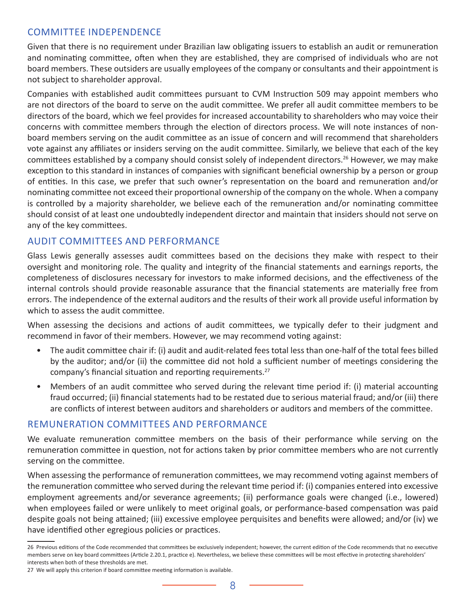#### <span id="page-10-0"></span>COMMITTEE INDEPENDENCE

Given that there is no requirement under Brazilian law obligating issuers to establish an audit or remuneration and nominating committee, often when they are established, they are comprised of individuals who are not board members. These outsiders are usually employees of the company or consultants and their appointment is not subject to shareholder approval.

Companies with established audit committees pursuant to CVM Instruction 509 may appoint members who are not directors of the board to serve on the audit committee. We prefer all audit committee members to be directors of the board, which we feel provides for increased accountability to shareholders who may voice their concerns with committee members through the election of directors process. We will note instances of nonboard members serving on the audit committee as an issue of concern and will recommend that shareholders vote against any affiliates or insiders serving on the audit committee. Similarly, we believe that each of the key committees established by a company should consist solely of independent directors.<sup>26</sup> However, we may make exception to this standard in instances of companies with significant beneficial ownership by a person or group of entities. In this case, we prefer that such owner's representation on the board and remuneration and/or nominating committee not exceed their proportional ownership of the company on the whole. When a company is controlled by a majority shareholder, we believe each of the remuneration and/or nominating committee should consist of at least one undoubtedly independent director and maintain that insiders should not serve on any of the key committees.

#### AUDIT COMMITTEES AND PERFORMANCE

Glass Lewis generally assesses audit committees based on the decisions they make with respect to their oversight and monitoring role. The quality and integrity of the financial statements and earnings reports, the completeness of disclosures necessary for investors to make informed decisions, and the effectiveness of the internal controls should provide reasonable assurance that the financial statements are materially free from errors. The independence of the external auditors and the results of their work all provide useful information by which to assess the audit committee.

When assessing the decisions and actions of audit committees, we typically defer to their judgment and recommend in favor of their members. However, we may recommend voting against:

- The audit committee chair if: (i) audit and audit-related fees total less than one-half of the total fees billed by the auditor; and/or (ii) the committee did not hold a sufficient number of meetings considering the company's financial situation and reporting requirements.<sup>27</sup>
- Members of an audit committee who served during the relevant time period if: (i) material accounting fraud occurred; (ii) financial statements had to be restated due to serious material fraud; and/or (iii) there are conflicts of interest between auditors and shareholders or auditors and members of the committee.

#### REMUNERATION COMMITTEES AND PERFORMANCE

We evaluate remuneration committee members on the basis of their performance while serving on the remuneration committee in question, not for actions taken by prior committee members who are not currently serving on the committee.

When assessing the performance of remuneration committees, we may recommend voting against members of the remuneration committee who served during the relevant time period if: (i) companies entered into excessive employment agreements and/or severance agreements; (ii) performance goals were changed (i.e., lowered) when employees failed or were unlikely to meet original goals, or performance-based compensation was paid despite goals not being attained; (iii) excessive employee perquisites and benefits were allowed; and/or (iv) we have identified other egregious policies or practices.

<sup>26</sup> Previous editions of the Code recommended that committees be exclusively independent; however, the current edition of the Code recommends that no executive members serve on key board committees (Article 2.20.1, practice e). Nevertheless, we believe these committees will be most effective in protecting shareholders' interests when both of these thresholds are met.

<sup>27</sup> We will apply this criterion if board committee meeting information is available.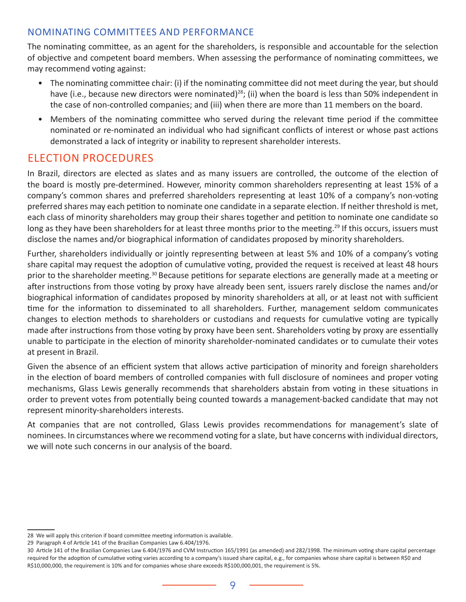#### <span id="page-11-0"></span>NOMINATING COMMITTEES AND PERFORMANCE

The nominating committee, as an agent for the shareholders, is responsible and accountable for the selection of objective and competent board members. When assessing the performance of nominating committees, we may recommend voting against:

- The nominating committee chair: (i) if the nominating committee did not meet during the year, but should have (i.e., because new directors were nominated)<sup>28</sup>; (ii) when the board is less than 50% independent in the case of non-controlled companies; and (iii) when there are more than 11 members on the board.
- Members of the nominating committee who served during the relevant time period if the committee nominated or re-nominated an individual who had significant conflicts of interest or whose past actions demonstrated a lack of integrity or inability to represent shareholder interests.

# ELECTION PROCEDURES

In Brazil, directors are elected as slates and as many issuers are controlled, the outcome of the election of the board is mostly pre-determined. However, minority common shareholders representing at least 15% of a company's common shares and preferred shareholders representing at least 10% of a company's non-voting preferred shares may each petition to nominate one candidate in a separate election. If neither threshold is met, each class of minority shareholders may group their shares together and petition to nominate one candidate so long as they have been shareholders for at least three months prior to the meeting.<sup>29</sup> If this occurs, issuers must disclose the names and/or biographical information of candidates proposed by minority shareholders.

Further, shareholders individually or jointly representing between at least 5% and 10% of a company's voting share capital may request the adoption of cumulative voting, provided the request is received at least 48 hours prior to the shareholder meeting.<sup>30</sup> Because petitions for separate elections are generally made at a meeting or after instructions from those voting by proxy have already been sent, issuers rarely disclose the names and/or biographical information of candidates proposed by minority shareholders at all, or at least not with sufficient time for the information to disseminated to all shareholders. Further, management seldom communicates changes to election methods to shareholders or custodians and requests for cumulative voting are typically made after instructions from those voting by proxy have been sent. Shareholders voting by proxy are essentially unable to participate in the election of minority shareholder-nominated candidates or to cumulate their votes at present in Brazil.

Given the absence of an efficient system that allows active participation of minority and foreign shareholders in the election of board members of controlled companies with full disclosure of nominees and proper voting mechanisms, Glass Lewis generally recommends that shareholders abstain from voting in these situations in order to prevent votes from potentially being counted towards a management-backed candidate that may not represent minority-shareholders interests.

At companies that are not controlled, Glass Lewis provides recommendations for management's slate of nominees. In circumstances where we recommend voting for a slate, but have concerns with individual directors, we will note such concerns in our analysis of the board.

<sup>28</sup> We will apply this criterion if board committee meeting information is available.

<sup>29</sup> Paragraph 4 of Article 141 of the Brazilian Companies Law 6.404/1976.

<sup>30</sup> Article 141 of the Brazilian Companies Law 6.404/1976 and CVM Instruction 165/1991 (as amended) and 282/1998. The minimum voting share capital percentage required for the adoption of cumulative voting varies according to a company's issued share capital, e.g., for companies whose share capital is between R\$0 and R\$10,000,000, the requirement is 10% and for companies whose share exceeds R\$100,000,001, the requirement is 5%.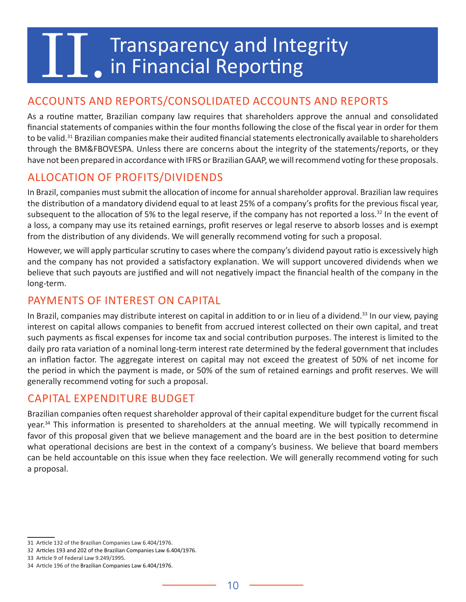# <span id="page-12-0"></span>Transparency and Integrity<br>In Financial Reporting

# ACCOUNTS AND REPORTS/CONSOLIDATED ACCOUNTS AND REPORTS

As a routine matter, Brazilian company law requires that shareholders approve the annual and consolidated financial statements of companies within the four months following the close of the fiscal year in order for them to be valid.<sup>31</sup> Brazilian companies make their audited financial statements electronically available to shareholders through the BM&FBOVESPA. Unless there are concerns about the integrity of the statements/reports, or they have not been prepared in accordance with IFRS or Brazilian GAAP, we will recommend voting for these proposals.

# ALLOCATION OF PROFITS/DIVIDENDS

In Brazil, companies must submit the allocation of income for annual shareholder approval. Brazilian law requires the distribution of a mandatory dividend equal to at least 25% of a company's profits for the previous fiscal year, subsequent to the allocation of 5% to the legal reserve, if the company has not reported a loss.<sup>32</sup> In the event of a loss, a company may use its retained earnings, profit reserves or legal reserve to absorb losses and is exempt from the distribution of any dividends. We will generally recommend voting for such a proposal.

However, we will apply particular scrutiny to cases where the company's dividend payout ratio is excessively high and the company has not provided a satisfactory explanation. We will support uncovered dividends when we believe that such payouts are justified and will not negatively impact the financial health of the company in the long-term.

### PAYMENTS OF INTEREST ON CAPITAL

In Brazil, companies may distribute interest on capital in addition to or in lieu of a dividend.<sup>33</sup> In our view, paying interest on capital allows companies to benefit from accrued interest collected on their own capital, and treat such payments as fiscal expenses for income tax and social contribution purposes. The interest is limited to the daily pro rata variation of a nominal long-term interest rate determined by the federal government that includes an inflation factor. The aggregate interest on capital may not exceed the greatest of 50% of net income for the period in which the payment is made, or 50% of the sum of retained earnings and profit reserves. We will generally recommend voting for such a proposal.

#### CAPITAL EXPENDITURE BUDGET

Brazilian companies often request shareholder approval of their capital expenditure budget for the current fiscal year.<sup>34</sup> This information is presented to shareholders at the annual meeting. We will typically recommend in favor of this proposal given that we believe management and the board are in the best position to determine what operational decisions are best in the context of a company's business. We believe that board members can be held accountable on this issue when they face reelection. We will generally recommend voting for such a proposal.

<sup>31</sup> Article 132 of the Brazilian Companies Law 6.404/1976.

<sup>32</sup> Articles 193 and 202 of the Brazilian Companies Law 6.404/1976.

<sup>33</sup> Article 9 of Federal Law 9.249/1995.

<sup>34</sup> Article 196 of the Brazilian Companies Law 6.404/1976.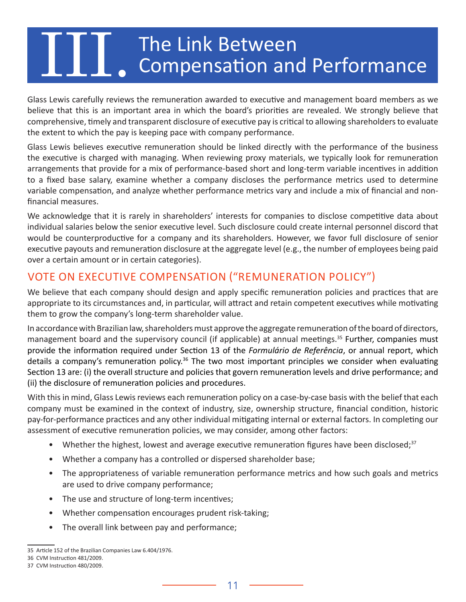# <span id="page-13-0"></span>The Link Between<br>Compensation and Performance

Glass Lewis carefully reviews the remuneration awarded to executive and management board members as we believe that this is an important area in which the board's priorities are revealed. We strongly believe that comprehensive, timely and transparent disclosure of executive pay is critical to allowing shareholders to evaluate the extent to which the pay is keeping pace with company performance.

Glass Lewis believes executive remuneration should be linked directly with the performance of the business the executive is charged with managing. When reviewing proxy materials, we typically look for remuneration arrangements that provide for a mix of performance-based short and long-term variable incentives in addition to a fixed base salary, examine whether a company discloses the performance metrics used to determine variable compensation, and analyze whether performance metrics vary and include a mix of financial and nonfinancial measures.

We acknowledge that it is rarely in shareholders' interests for companies to disclose competitive data about individual salaries below the senior executive level. Such disclosure could create internal personnel discord that would be counterproductive for a company and its shareholders. However, we favor full disclosure of senior executive payouts and remuneration disclosure at the aggregate level (e.g., the number of employees being paid over a certain amount or in certain categories).

# VOTE ON EXECUTIVE COMPENSATION ("REMUNERATION POLICY")

We believe that each company should design and apply specific remuneration policies and practices that are appropriate to its circumstances and, in particular, will attract and retain competent executives while motivating them to grow the company's long-term shareholder value.

In accordance with Brazilian law, shareholders must approve the aggregate remuneration of the board of directors, management board and the supervisory council (if applicable) at annual meetings.<sup>35</sup> Further, companies must provide the information required under Section 13 of the *Formulário de Referência*, or annual report, which details a company's remuneration policy.<sup>36</sup> The two most important principles we consider when evaluating Section 13 are: (i) the overall structure and policies that govern remuneration levels and drive performance; and (ii) the disclosure of remuneration policies and procedures.

With this in mind, Glass Lewis reviews each remuneration policy on a case-by-case basis with the belief that each company must be examined in the context of industry, size, ownership structure, financial condition, historic pay-for-performance practices and any other individual mitigating internal or external factors. In completing our assessment of executive remuneration policies, we may consider, among other factors:

- Whether the highest, lowest and average executive remuneration figures have been disclosed;<sup>37</sup>
- Whether a company has a controlled or dispersed shareholder base;
- The appropriateness of variable remuneration performance metrics and how such goals and metrics are used to drive company performance;
- The use and structure of long-term incentives;
- Whether compensation encourages prudent risk-taking;
- The overall link between pay and performance;

<sup>35</sup> Article 152 of the Brazilian Companies Law 6.404/1976.

<sup>36</sup> CVM Instruction 481/2009.

<sup>37</sup> CVM Instruction 480/2009.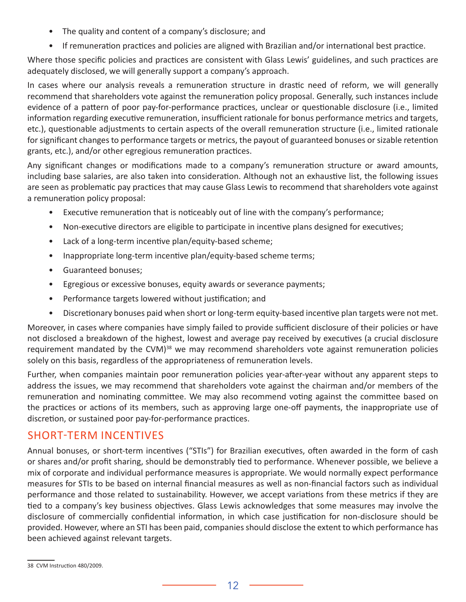- The quality and content of a company's disclosure; and
- If remuneration practices and policies are aligned with Brazilian and/or international best practice.

Where those specific policies and practices are consistent with Glass Lewis' guidelines, and such practices are adequately disclosed, we will generally support a company's approach.

In cases where our analysis reveals a remuneration structure in drastic need of reform, we will generally recommend that shareholders vote against the remuneration policy proposal. Generally, such instances include evidence of a pattern of poor pay-for-performance practices, unclear or questionable disclosure (i.e., limited information regarding executive remuneration, insufficient rationale for bonus performance metrics and targets, etc.), questionable adjustments to certain aspects of the overall remuneration structure (i.e., limited rationale for significant changes to performance targets or metrics, the payout of guaranteed bonuses or sizable retention grants, etc.), and/or other egregious remuneration practices.

Any significant changes or modifications made to a company's remuneration structure or award amounts, including base salaries, are also taken into consideration. Although not an exhaustive list, the following issues are seen as problematic pay practices that may cause Glass Lewis to recommend that shareholders vote against a remuneration policy proposal:

- Executive remuneration that is noticeably out of line with the company's performance;
- Non-executive directors are eligible to participate in incentive plans designed for executives;
- Lack of a long-term incentive plan/equity-based scheme;
- Inappropriate long-term incentive plan/equity-based scheme terms;
- Guaranteed bonuses;
- Egregious or excessive bonuses, equity awards or severance payments;
- Performance targets lowered without justification; and
- Discretionary bonuses paid when short or long-term equity-based incentive plan targets were not met.

Moreover, in cases where companies have simply failed to provide sufficient disclosure of their policies or have not disclosed a breakdown of the highest, lowest and average pay received by executives (a crucial disclosure requirement mandated by the CVM)<sup>38</sup> we may recommend shareholders vote against remuneration policies solely on this basis, regardless of the appropriateness of remuneration levels.

Further, when companies maintain poor remuneration policies year-after-year without any apparent steps to address the issues, we may recommend that shareholders vote against the chairman and/or members of the remuneration and nominating committee. We may also recommend voting against the committee based on the practices or actions of its members, such as approving large one-off payments, the inappropriate use of discretion, or sustained poor pay-for-performance practices.

# SHORT-TERM INCENTIVES

Annual bonuses, or short-term incentives ("STIs") for Brazilian executives, often awarded in the form of cash or shares and/or profit sharing, should be demonstrably tied to performance. Whenever possible, we believe a mix of corporate and individual performance measures is appropriate. We would normally expect performance measures for STIs to be based on internal financial measures as well as non-financial factors such as individual performance and those related to sustainability. However, we accept variations from these metrics if they are tied to a company's key business objectives. Glass Lewis acknowledges that some measures may involve the disclosure of commercially confidential information, in which case justification for non-disclosure should be provided. However, where an STI has been paid, companies should disclose the extent to which performance has been achieved against relevant targets.

<sup>38</sup> CVM Instruction 480/2009.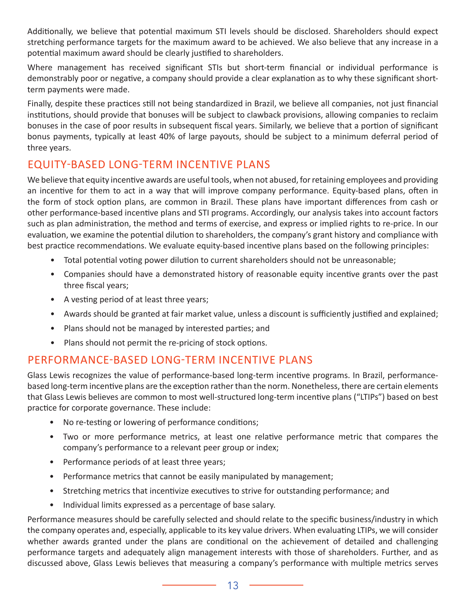<span id="page-15-0"></span>Additionally, we believe that potential maximum STI levels should be disclosed. Shareholders should expect stretching performance targets for the maximum award to be achieved. We also believe that any increase in a potential maximum award should be clearly justified to shareholders.

Where management has received significant STIs but short-term financial or individual performance is demonstrably poor or negative, a company should provide a clear explanation as to why these significant shortterm payments were made.

Finally, despite these practices still not being standardized in Brazil, we believe all companies, not just financial institutions, should provide that bonuses will be subject to clawback provisions, allowing companies to reclaim bonuses in the case of poor results in subsequent fiscal years. Similarly, we believe that a portion of significant bonus payments, typically at least 40% of large payouts, should be subject to a minimum deferral period of three years.

## EQUITY-BASED LONG-TERM INCENTIVE PLANS

We believe that equity incentive awards are useful tools, when not abused, for retaining employees and providing an incentive for them to act in a way that will improve company performance. Equity-based plans, often in the form of stock option plans, are common in Brazil. These plans have important differences from cash or other performance-based incentive plans and STI programs. Accordingly, our analysis takes into account factors such as plan administration, the method and terms of exercise, and express or implied rights to re-price. In our evaluation, we examine the potential dilution to shareholders, the company's grant history and compliance with best practice recommendations. We evaluate equity-based incentive plans based on the following principles:

- Total potential voting power dilution to current shareholders should not be unreasonable;
- Companies should have a demonstrated history of reasonable equity incentive grants over the past three fiscal years;
- A vesting period of at least three years;
- Awards should be granted at fair market value, unless a discount is sufficiently justified and explained;
- Plans should not be managed by interested parties; and
- Plans should not permit the re-pricing of stock options.

# PERFORMANCE-BASED LONG-TERM INCENTIVE PLANS

Glass Lewis recognizes the value of performance-based long-term incentive programs. In Brazil, performancebased long-term incentive plans are the exception rather than the norm. Nonetheless, there are certain elements that Glass Lewis believes are common to most well-structured long-term incentive plans ("LTIPs") based on best practice for corporate governance. These include:

- No re-testing or lowering of performance conditions;
- Two or more performance metrics, at least one relative performance metric that compares the company's performance to a relevant peer group or index;
- Performance periods of at least three years;
- Performance metrics that cannot be easily manipulated by management;
- Stretching metrics that incentivize executives to strive for outstanding performance; and
- Individual limits expressed as a percentage of base salary.

Performance measures should be carefully selected and should relate to the specific business/industry in which the company operates and, especially, applicable to its key value drivers. When evaluating LTIPs, we will consider whether awards granted under the plans are conditional on the achievement of detailed and challenging performance targets and adequately align management interests with those of shareholders. Further, and as discussed above, Glass Lewis believes that measuring a company's performance with multiple metrics serves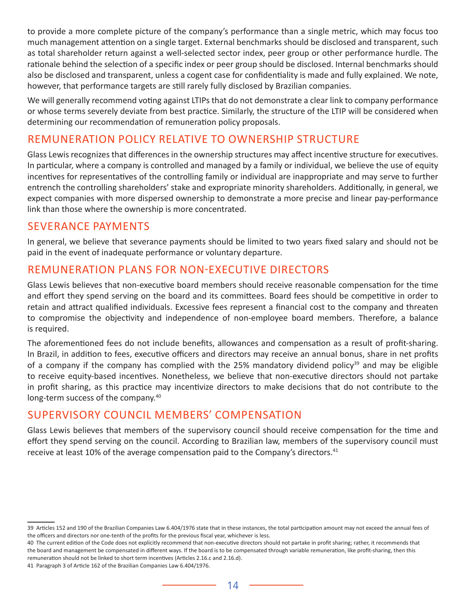to provide a more complete picture of the company's performance than a single metric, which may focus too much management attention on a single target. External benchmarks should be disclosed and transparent, such as total shareholder return against a well-selected sector index, peer group or other performance hurdle. The rationale behind the selection of a specific index or peer group should be disclosed. Internal benchmarks should also be disclosed and transparent, unless a cogent case for confidentiality is made and fully explained. We note, however, that performance targets are still rarely fully disclosed by Brazilian companies.

We will generally recommend voting against LTIPs that do not demonstrate a clear link to company performance or whose terms severely deviate from best practice. Similarly, the structure of the LTIP will be considered when determining our recommendation of remuneration policy proposals.

### REMUNERATION POLICY RELATIVE TO OWNERSHIP STRUCTURE

Glass Lewis recognizes that differences in the ownership structures may affect incentive structure for executives. In particular, where a company is controlled and managed by a family or individual, we believe the use of equity incentives for representatives of the controlling family or individual are inappropriate and may serve to further entrench the controlling shareholders' stake and expropriate minority shareholders. Additionally, in general, we expect companies with more dispersed ownership to demonstrate a more precise and linear pay-performance link than those where the ownership is more concentrated.

#### SEVERANCE PAYMENTS

In general, we believe that severance payments should be limited to two years fixed salary and should not be paid in the event of inadequate performance or voluntary departure.

## REMUNERATION PLANS FOR NON-EXECUTIVE DIRECTORS

Glass Lewis believes that non-executive board members should receive reasonable compensation for the time and effort they spend serving on the board and its committees. Board fees should be competitive in order to retain and attract qualified individuals. Excessive fees represent a financial cost to the company and threaten to compromise the objectivity and independence of non-employee board members. Therefore, a balance is required.

The aforementioned fees do not include benefits, allowances and compensation as a result of profit-sharing. In Brazil, in addition to fees, executive officers and directors may receive an annual bonus, share in net profits of a company if the company has complied with the 25% mandatory dividend policy<sup>39</sup> and may be eligible to receive equity-based incentives. Nonetheless, we believe that non-executive directors should not partake in profit sharing, as this practice may incentivize directors to make decisions that do not contribute to the long-term success of the company.<sup>40</sup>

# SUPERVISORY COUNCIL MEMBERS' COMPENSATION

Glass Lewis believes that members of the supervisory council should receive compensation for the time and effort they spend serving on the council. According to Brazilian law, members of the supervisory council must receive at least 10% of the average compensation paid to the Company's directors.<sup>41</sup>

<sup>39</sup> Articles 152 and 190 of the Brazilian Companies Law 6.404/1976 state that in these instances, the total participation amount may not exceed the annual fees of the officers and directors nor one-tenth of the profits for the previous fiscal year, whichever is less.

<sup>40</sup> The current edition of the Code does not explicitly recommend that non-executive directors should not partake in profit sharing; rather, it recommends that the board and management be compensated in different ways. If the board is to be compensated through variable remuneration, like profit-sharing, then this remuneration should not be linked to short term incentives (Articles 2.16.c and 2.16.d).

<sup>41</sup> Paragraph 3 of Article 162 of the Brazilian Companies Law 6.404/1976.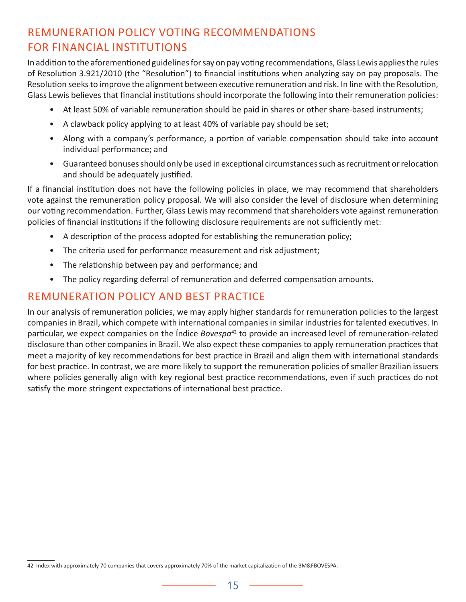# <span id="page-17-0"></span>REMUNERATION POLICY VOTING RECOMMENDATIONS FOR FINANCIAL INSTITUTIONS

In addition to the aforementioned guidelines for say on pay voting recommendations, Glass Lewis applies the rules of Resolution 3.921/2010 (the "Resolution") to financial institutions when analyzing say on pay proposals. The Resolution seeks to improve the alignment between executive remuneration and risk. In line with the Resolution, Glass Lewis believes that financial institutions should incorporate the following into their remuneration policies:

- At least 50% of variable remuneration should be paid in shares or other share-based instruments;
- A clawback policy applying to at least 40% of variable pay should be set;
- Along with a company's performance, a portion of variable compensation should take into account individual performance; and
- Guaranteed bonuses should only be used in exceptional circumstances such as recruitment or relocation and should be adequately justified.

If a financial institution does not have the following policies in place, we may recommend that shareholders vote against the remuneration policy proposal. We will also consider the level of disclosure when determining our voting recommendation. Further, Glass Lewis may recommend that shareholders vote against remuneration policies of financial institutions if the following disclosure requirements are not sufficiently met:

- A description of the process adopted for establishing the remuneration policy;
- The criteria used for performance measurement and risk adjustment;
- The relationship between pay and performance; and
- The policy regarding deferral of remuneration and deferred compensation amounts.

#### REMUNERATION POLICY AND BEST PRACTICE

In our analysis of remuneration policies, we may apply higher standards for remuneration policies to the largest companies in Brazil, which compete with international companies in similar industries for talented executives. In particular, we expect companies on the Índice *Bovespa*<sup>42</sup> to provide an increased level of remuneration-related disclosure than other companies in Brazil. We also expect these companies to apply remuneration practices that meet a majority of key recommendations for best practice in Brazil and align them with international standards for best practice. In contrast, we are more likely to support the remuneration policies of smaller Brazilian issuers where policies generally align with key regional best practice recommendations, even if such practices do not satisfy the more stringent expectations of international best practice.

<sup>42</sup> Index with approximately 70 companies that covers approximately 70% of the market capitalization of the BM&FBOVESPA.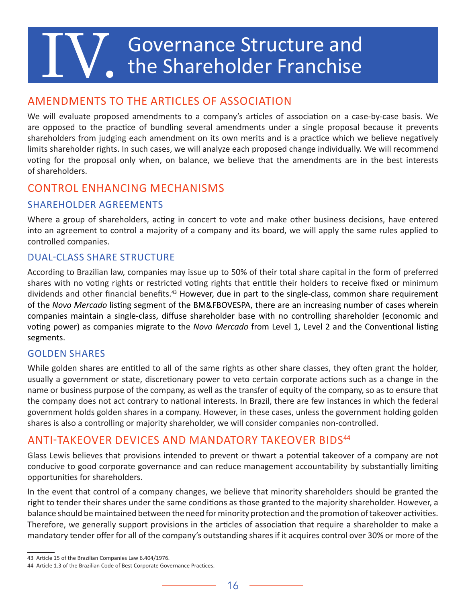# <span id="page-18-0"></span> $\sum_{\bullet}$  Governance Structure and the Shareholder Franchise

## AMENDMENTS TO THE ARTICLES OF ASSOCIATION

We will evaluate proposed amendments to a company's articles of association on a case-by-case basis. We are opposed to the practice of bundling several amendments under a single proposal because it prevents shareholders from judging each amendment on its own merits and is a practice which we believe negatively limits shareholder rights. In such cases, we will analyze each proposed change individually. We will recommend voting for the proposal only when, on balance, we believe that the amendments are in the best interests of shareholders.

#### CONTROL ENHANCING MECHANISMS

#### SHAREHOLDER AGREEMENTS

Where a group of shareholders, acting in concert to vote and make other business decisions, have entered into an agreement to control a majority of a company and its board, we will apply the same rules applied to controlled companies.

#### DUAL-CLASS SHARE STRUCTURE

According to Brazilian law, companies may issue up to 50% of their total share capital in the form of preferred shares with no voting rights or restricted voting rights that entitle their holders to receive fixed or minimum dividends and other financial benefits.<sup>43</sup> However, due in part to the single-class, common share requirement of the *Novo Mercado* listing segment of the BM&FBOVESPA, there are an increasing number of cases wherein companies maintain a single-class, diffuse shareholder base with no controlling shareholder (economic and voting power) as companies migrate to the *Novo Mercado* from Level 1, Level 2 and the Conventional listing segments.

#### GOLDEN SHARES

While golden shares are entitled to all of the same rights as other share classes, they often grant the holder, usually a government or state, discretionary power to veto certain corporate actions such as a change in the name or business purpose of the company, as well as the transfer of equity of the company, so as to ensure that the company does not act contrary to national interests. In Brazil, there are few instances in which the federal government holds golden shares in a company. However, in these cases, unless the government holding golden shares is also a controlling or majority shareholder, we will consider companies non-controlled.

#### ANTI-TAKEOVER DEVICES AND MANDATORY TAKEOVER BIDS<sup>44</sup>

Glass Lewis believes that provisions intended to prevent or thwart a potential takeover of a company are not conducive to good corporate governance and can reduce management accountability by substantially limiting opportunities for shareholders.

In the event that control of a company changes, we believe that minority shareholders should be granted the right to tender their shares under the same conditions as those granted to the majority shareholder. However, a balance should be maintained between the need for minority protection and the promotion of takeover activities. Therefore, we generally support provisions in the articles of association that require a shareholder to make a mandatory tender offer for all of the company's outstanding shares if it acquires control over 30% or more of the

<sup>43</sup> Article 15 of the Brazilian Companies Law 6.404/1976.

<sup>44</sup> Article 1.3 of the Brazilian Code of Best Corporate Governance Practices.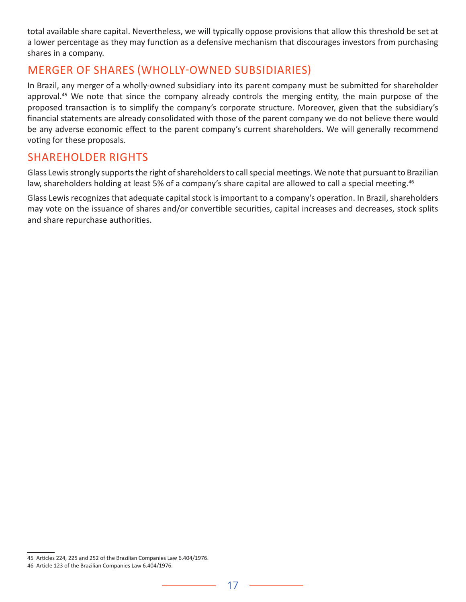<span id="page-19-0"></span>total available share capital. Nevertheless, we will typically oppose provisions that allow this threshold be set at a lower percentage as they may function as a defensive mechanism that discourages investors from purchasing shares in a company.

#### MERGER OF SHARES (WHOLLY-OWNED SUBSIDIARIES)

In Brazil, any merger of a wholly-owned subsidiary into its parent company must be submitted for shareholder approval.<sup>45</sup> We note that since the company already controls the merging entity, the main purpose of the proposed transaction is to simplify the company's corporate structure. Moreover, given that the subsidiary's financial statements are already consolidated with those of the parent company we do not believe there would be any adverse economic effect to the parent company's current shareholders. We will generally recommend voting for these proposals.

## SHAREHOLDER RIGHTS

Glass Lewis strongly supports the right of shareholders to call special meetings. We note that pursuant to Brazilian law, shareholders holding at least 5% of a company's share capital are allowed to call a special meeting.<sup>46</sup>

Glass Lewis recognizes that adequate capital stock is important to a company's operation. In Brazil, shareholders may vote on the issuance of shares and/or convertible securities, capital increases and decreases, stock splits and share repurchase authorities.

<sup>45</sup> Articles 224, 225 and 252 of the Brazilian Companies Law 6.404/1976.

<sup>46</sup> Article 123 of the Brazilian Companies Law 6.404/1976.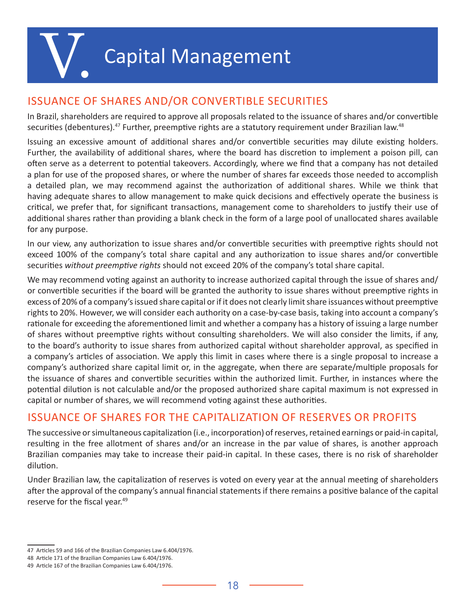# **Capital Management**

# <span id="page-20-0"></span>ISSUANCE OF SHARES AND/OR CONVERTIBLE SECURITIES

In Brazil, shareholders are required to approve all proposals related to the issuance of shares and/or convertible securities (debentures).<sup>47</sup> Further, preemptive rights are a statutory requirement under Brazilian law.<sup>48</sup>

Issuing an excessive amount of additional shares and/or convertible securities may dilute existing holders. Further, the availability of additional shares, where the board has discretion to implement a poison pill, can often serve as a deterrent to potential takeovers. Accordingly, where we find that a company has not detailed a plan for use of the proposed shares, or where the number of shares far exceeds those needed to accomplish a detailed plan, we may recommend against the authorization of additional shares. While we think that having adequate shares to allow management to make quick decisions and effectively operate the business is critical, we prefer that, for significant transactions, management come to shareholders to justify their use of additional shares rather than providing a blank check in the form of a large pool of unallocated shares available for any purpose.

In our view, any authorization to issue shares and/or convertible securities with preemptive rights should not exceed 100% of the company's total share capital and any authorization to issue shares and/or convertible securities *without preemptive rights* should not exceed 20% of the company's total share capital.

We may recommend voting against an authority to increase authorized capital through the issue of shares and/ or convertible securities if the board will be granted the authority to issue shares without preemptive rights in excess of 20% of a company's issued share capital or if it does not clearly limit share issuances without preemptive rights to 20%. However, we will consider each authority on a case-by-case basis, taking into account a company's rationale for exceeding the aforementioned limit and whether a company has a history of issuing a large number of shares without preemptive rights without consulting shareholders. We will also consider the limits, if any, to the board's authority to issue shares from authorized capital without shareholder approval, as specified in a company's articles of association. We apply this limit in cases where there is a single proposal to increase a company's authorized share capital limit or, in the aggregate, when there are separate/multiple proposals for the issuance of shares and convertible securities within the authorized limit. Further, in instances where the potential dilution is not calculable and/or the proposed authorized share capital maximum is not expressed in capital or number of shares, we will recommend voting against these authorities.

# ISSUANCE OF SHARES FOR THE CAPITALIZATION OF RESERVES OR PROFITS

The successive or simultaneous capitalization (i.e., incorporation) of reserves, retained earnings or paid-in capital, resulting in the free allotment of shares and/or an increase in the par value of shares, is another approach Brazilian companies may take to increase their paid-in capital. In these cases, there is no risk of shareholder dilution.

Under Brazilian law, the capitalization of reserves is voted on every year at the annual meeting of shareholders after the approval of the company's annual financial statements if there remains a positive balance of the capital reserve for the fiscal year.<sup>49</sup>

<sup>47</sup> Articles 59 and 166 of the Brazilian Companies Law 6.404/1976.

<sup>48</sup> Article 171 of the Brazilian Companies Law 6.404/1976.

<sup>49</sup> Article 167 of the Brazilian Companies Law 6.404/1976.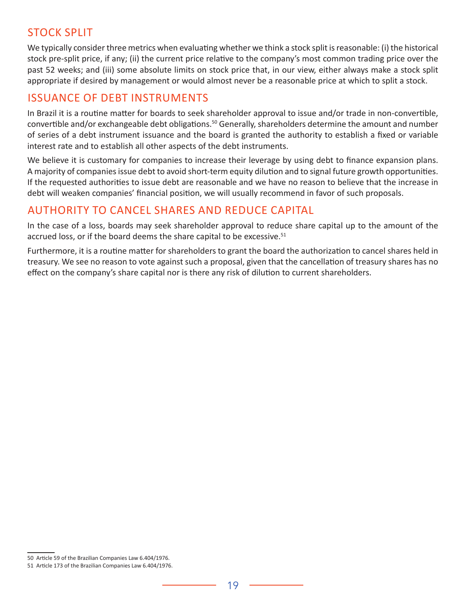## <span id="page-21-0"></span>STOCK SPLIT

We typically consider three metrics when evaluating whether we think a stock split is reasonable: (i) the historical stock pre-split price, if any; (ii) the current price relative to the company's most common trading price over the past 52 weeks; and (iii) some absolute limits on stock price that, in our view, either always make a stock split appropriate if desired by management or would almost never be a reasonable price at which to split a stock.

#### ISSUANCE OF DEBT INSTRUMENTS

In Brazil it is a routine matter for boards to seek shareholder approval to issue and/or trade in non-convertible, convertible and/or exchangeable debt obligations.<sup>50</sup> Generally, shareholders determine the amount and number of series of a debt instrument issuance and the board is granted the authority to establish a fixed or variable interest rate and to establish all other aspects of the debt instruments.

We believe it is customary for companies to increase their leverage by using debt to finance expansion plans. A majority of companies issue debt to avoid short-term equity dilution and to signal future growth opportunities. If the requested authorities to issue debt are reasonable and we have no reason to believe that the increase in debt will weaken companies' financial position, we will usually recommend in favor of such proposals.

## AUTHORITY TO CANCEL SHARES AND REDUCE CAPITAL

In the case of a loss, boards may seek shareholder approval to reduce share capital up to the amount of the accrued loss, or if the board deems the share capital to be excessive.<sup>51</sup>

Furthermore, it is a routine matter for shareholders to grant the board the authorization to cancel shares held in treasury. We see no reason to vote against such a proposal, given that the cancellation of treasury shares has no effect on the company's share capital nor is there any risk of dilution to current shareholders.

<sup>50</sup> Article 59 of the Brazilian Companies Law 6.404/1976.

<sup>51</sup> Article 173 of the Brazilian Companies Law 6.404/1976.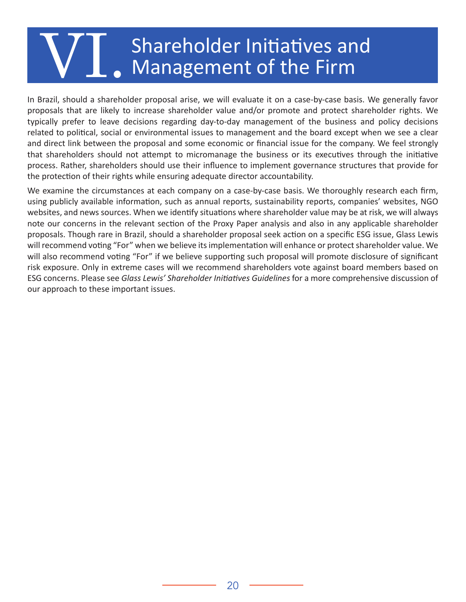# <span id="page-22-0"></span>Shareholder Initiatives and Management of the Firm

In Brazil, should a shareholder proposal arise, we will evaluate it on a case-by-case basis. We generally favor proposals that are likely to increase shareholder value and/or promote and protect shareholder rights. We typically prefer to leave decisions regarding day-to-day management of the business and policy decisions related to political, social or environmental issues to management and the board except when we see a clear and direct link between the proposal and some economic or financial issue for the company. We feel strongly that shareholders should not attempt to micromanage the business or its executives through the initiative process. Rather, shareholders should use their influence to implement governance structures that provide for the protection of their rights while ensuring adequate director accountability.

We examine the circumstances at each company on a case-by-case basis. We thoroughly research each firm, using publicly available information, such as annual reports, sustainability reports, companies' websites, NGO websites, and news sources. When we identify situations where shareholder value may be at risk, we will always note our concerns in the relevant section of the Proxy Paper analysis and also in any applicable shareholder proposals. Though rare in Brazil, should a shareholder proposal seek action on a specific ESG issue, Glass Lewis will recommend voting "For" when we believe its implementation will enhance or protect shareholder value. We will also recommend voting "For" if we believe supporting such proposal will promote disclosure of significant risk exposure. Only in extreme cases will we recommend shareholders vote against board members based on ESG concerns. Please see *Glass Lewis' Shareholder Initiatives Guidelines* for a more comprehensive discussion of our approach to these important issues.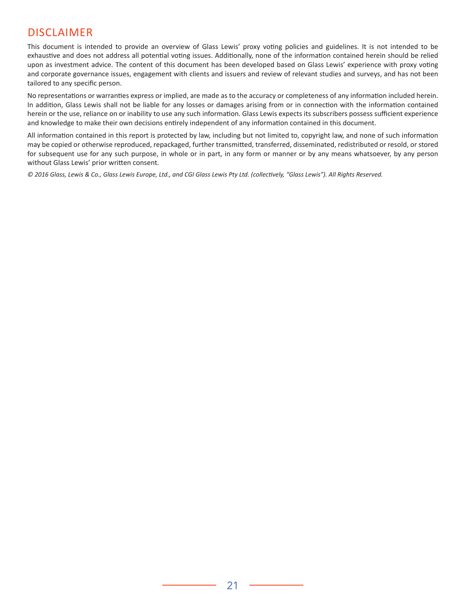#### DISCLAIMER

This document is intended to provide an overview of Glass Lewis' proxy voting policies and guidelines. It is not intended to be exhaustive and does not address all potential voting issues. Additionally, none of the information contained herein should be relied upon as investment advice. The content of this document has been developed based on Glass Lewis' experience with proxy voting and corporate governance issues, engagement with clients and issuers and review of relevant studies and surveys, and has not been tailored to any specific person.

No representations or warranties express or implied, are made as to the accuracy or completeness of any information included herein. In addition, Glass Lewis shall not be liable for any losses or damages arising from or in connection with the information contained herein or the use, reliance on or inability to use any such information. Glass Lewis expects its subscribers possess sufficient experience and knowledge to make their own decisions entirely independent of any information contained in this document.

All information contained in this report is protected by law, including but not limited to, copyright law, and none of such information may be copied or otherwise reproduced, repackaged, further transmitted, transferred, disseminated, redistributed or resold, or stored for subsequent use for any such purpose, in whole or in part, in any form or manner or by any means whatsoever, by any person without Glass Lewis' prior written consent.

*© 2016 Glass, Lewis & Co., Glass Lewis Europe, Ltd., and CGI Glass Lewis Pty Ltd. (collectively, "Glass Lewis"). All Rights Reserved.*